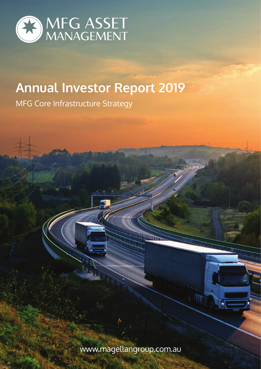

# **Annual Investor Report 2019**

MFG Core Infrastructure Strategy

www.magellangroup.com.au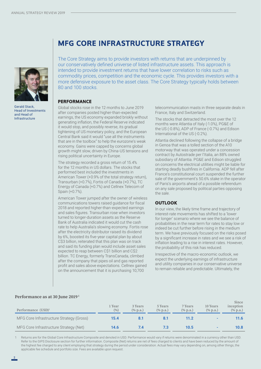

Gerald Stack, Head of Investments and Head of Infrastructure

# **MFG CORE INFRASTRUCTURE STRATEGY**

The Core Strategy aims to provide investors with returns that are underpinned by our conservatively defined universe of listed infrastructure assets. This approach is intended to provide investment returns that have lower correlation to risks such as commodity prices, competition and the economic cycle. This provides investors with a more defensive exposure to the asset class. The Core Strategy typically holds between 80 and 100 stocks.

### **PERFORMANCE**

Global stocks rose in the 12 months to June 2019 after companies posted higher-than-expected earnings, the US economy expanded briskly without generating inflation, the Federal Reserve indicated it would stop, and possibly reverse, its gradual tightening of US monetary policy, and the European Central Bank said it would "use all the instruments that are in the toolbox" to help the eurozone's weak economy. Gains were capped by concerns global growth might slow, driven by China-US tensions and rising political uncertainty in Europe.

The strategy recorded a gross return of 15.4% for the 12 months in US dollars. The stocks that performed best included the investments in American Tower (+0.9% of the total strategy return), Transurban (+0.7%), Fortis of Canada (+0.7%), TC Energy of Canada (+0.7%) and Cellnex Telecom of Spain (+0.7%).

American Tower jumped after the owner of wireless communications towers raised guidance for fiscal 2018 and reported higher-than-expected earnings and sales figures. Transurban rose when investors turned to longer-duration assets as the Reserve Bank of Australia indicated it would cut the cash rate to help Australia's slowing economy. Fortis rose after the electricity distributor raised its dividend by 6%, boosted its five-year capital plan by about C\$3 billion, reiterated that this plan was on track and said its funding plan would include asset sales expected to reap between C\$1 billion and C\$2 billion. TC Energy, formerly TransCanada, climbed after the company that pipes oil and gas reported profit and sales above expectations. Cellnex gained on the announcement that it is purchasing 10,700

telecommunication masts in three separate deals in France, Italy and Switzerland.

The stocks that detracted the most over the 12 months were Atlantia of Italy (-1.0%), PG&E of the US (-0.8%), ADP of France (-0.7%) and Edison International of the US (-0.2%).

Atlantia declined following the collapse of a bridge in Genoa that was a tolled section of the A10 motorway that was operated under a concession contract by Autostrade per l'Italia, an 88% owned subsidiary of Atlantia. PG&E and Edison struggled on concerns the electrical utilities might be liable for starting deadly bushfires in California. ADP fell after France's constitutional court suspended the further sale of the government's 50.6% stake in the operator of Paris's airports ahead of a possible referendum on any sale proposed by political parties opposing the sale.

# **OUTLOOK**

In our view, the likely time frame and trajectory of interest-rate movements has shifted to a 'lower for longer' scenario where we see the balance of probabilities in the near term for rates to stay low or indeed be cut further before rising in the medium term. We have previously focused on the risks posed by a significant increase in rates and we see a risk of inflation leading to a rise in interest rates. However, the probability of this risk has reduced.

Irrespective of the macro-economic outlook, we expect the underlying earnings of infrastructure and utility companies in our conservative universe to remain reliable and predictable. Ultimately, the

#### **Performance as at 30 June 2019 1**

| Performance (USD) <sup>1</sup>           | 1 Year<br>(9/6) | 3 Years<br>$(\%$ p.a.) | 5 Years<br>$(\%$ p.a.) | 7 Years<br>$(\%$ p.a.) | 10 Years<br>$(\%$ p.a.) | Since<br>inception<br>$(\%$ p.a.) |
|------------------------------------------|-----------------|------------------------|------------------------|------------------------|-------------------------|-----------------------------------|
| MFG Core Infrastructure Strategy (Gross) | 15.4            |                        |                        | 11.2                   |                         | 11.6                              |
| MFG Core Infrastructure Strategy (Net)   | 14.6            |                        |                        | 10.5                   |                         | 10.8                              |

Returns are for the Global Core Infrastructure Composite and denoted in USD. Performance would vary if returns were denominated in a currency other than USD. Refer to the GIPS Disclosure section for further information. Composite (Net) returns are net of fees charged to clients and have been reduced by the amount of the highest fee charged to any client employing that strategy during the period under consideration. Actual fees may vary depending on, among other things, the applicable fee schedule and portfolio size. Fees are available upon request.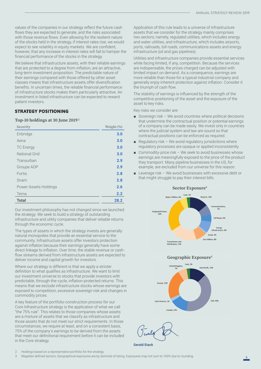values of the companies in our strategy reflect the future cash flows they are expected to generate, and the risks associated with those revenue flows. Even allowing for the resilient nature of the stocks held in the strategy, if interest rates rise, we would expect to see volatility in equity markets. We are confident, however, that any increase in interest rates will fail to hamper the financial performance of the stocks in the strategy.

We believe that infrastructure assets, with their reliable earnings that are protected to a degree from inflation, are an attractive, long-term investment proposition. The predictable nature of their earnings compared with those offered by other asset classes means that infrastructure assets offer diversification benefits. In uncertain times, the reliable financial performance of infrastructure stocks makes them particularly attractive. An investment in listed infrastructure can be expected to reward patient investors.

## **STRATEGY POSITIONING**

#### **Top-10 holdings at 30 June 2019 2**

| Security              | Weight (%) |
|-----------------------|------------|
| Enbridge              | 3.0        |
| Aena                  | 3.0        |
| <b>TC</b> Energy      | 3.0        |
| <b>National Grid</b>  | 3.0        |
| Transurban            | 2.9        |
| Groupe ADP            | 2.9        |
| Fortis                | 2.8        |
| Snam                  | 2.8        |
| Power Assets Holdings | 2.6        |
| Terna                 | 2.2        |
| <b>Total</b>          | 28.2       |

Our investment philosophy has not changed since we launched the strategy. We seek to build a strategy of outstanding infrastructure and utility companies that deliver reliable returns through the economic cycle.

The types of assets in which the strategy invests are generally natural monopolies that provide an essential service to the community. Infrastructure assets offer investors protection against inflation because their earnings generally have some direct linkage to inflation. Over time, the stable revenue or cashflow streams derived from infrastructure assets are expected to deliver income and capital growth for investors.

Where our strategy is different is that we apply a stricter definition to what qualifies as infrastructure. We want to limit our investment universe to stocks that provide investors with predictable, through-the-cycle, inflation-protected returns. This means that we exclude infrastructure stocks whose earnings are exposed to competition, excessive sovereign risk and changes in commodity prices.

A key feature of the portfolio-construction process for our Core Infrastructure strategy is the application of what we call "the 75% rule". This relates to those companies whose assets are a mixture of assets that we classify as infrastructure and those assets that do not meet our strict requirements. In those circumstances, we require at least, and on a consistent basis, 75% of the company's earnings to be derived from the assets that meet our definitional requirement before it can be included in the Core strategy.

Application of this rule leads to a universe of infrastructure assets that we consider for the strategy mainly comprises two sectors; namely, regulated utilities, which includes energy and water utilities, and infrastructure, which includes airports, ports, railroads, toll roads, communications assets and energy infrastructure (oil and gas pipelines).

Utilities and infrastructure companies provide essential services while facing limited, if any, competition. Because the services are indispensable, the prices charged can be adjusted with limited impact on demand. As a consequence, earnings are more reliable than those for a typical industrial company and generally enjoy inherent protection against inflation. Consider it the triumph of cash flow.

The stability of earnings is influenced by the strength of the competitive positioning of the asset and the exposure of the asset to key risks.

Key risks we consider are:

- Sovereign risk We avoid countries where political decisions that undermine the contractual position or potential earnings of a company can be made easily. We invest only in countries where the judicial system and law are sound so that contractual positions can be enforced as required.
- Regulatory risk We avoid regulatory jurisdictions where regulatory processes are opaque or applied inconsistently.
- Commodity-price risk We seek to avoid businesses whose earnings are meaningfully exposed to the price of the product they transport. Many pipeline businesses in the US, for example, are excluded from our universe for this reason.
- $\blacksquare$  Leverage risk We avoid businesses with excessive debt or that might struggle to pay their interest bills.



**Geographic Exposure3**



Gerald Stack

2 Holdings based on a representative portfolio for the strategy.

3 Magellan defined sectors, Geographical exposures are by domicile of listing. Exposures may not sum to 100% due to rounding.